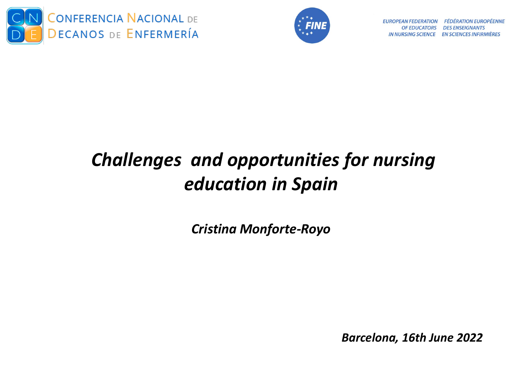



**FÉDÉRATION EUROPÉENNE EUROPEAN FEDERATION** OF EDUCATORS DES ENSEIGNANTS **IN NURSING SCIENCE EN SCIENCES INFIRMIÈRES** 

## *Challenges and opportunities for nursing education in Spain*

*Cristina Monforte-Royo*

*Barcelona, 16th June 2022*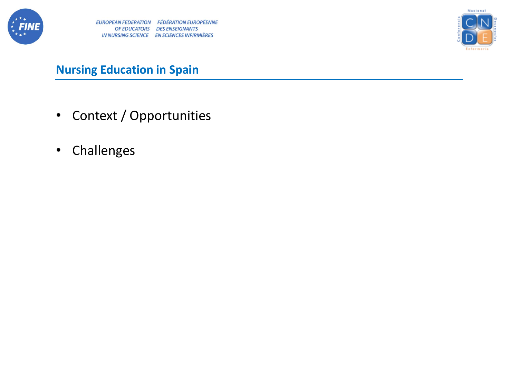



- Context / Opportunities
- Challenges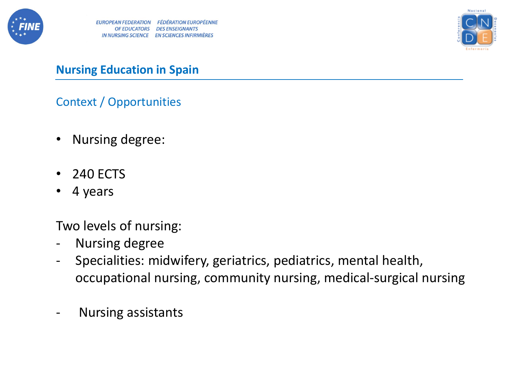



Context / Opportunities

- Nursing degree:
- 240 ECTS
- 4 years

Two levels of nursing:

- Nursing degree
- Specialities: midwifery, geriatrics, pediatrics, mental health, occupational nursing, community nursing, medical-surgical nursing
- Nursing assistants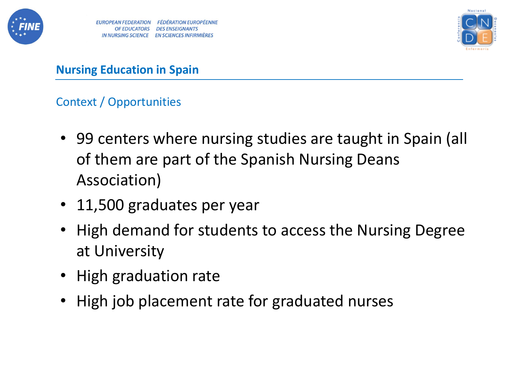



## Context / Opportunities

- 99 centers where nursing studies are taught in Spain (all of them are part of the Spanish Nursing Deans Association)
- 11,500 graduates per year
- High demand for students to access the Nursing Degree at University
- High graduation rate
- High job placement rate for graduated nurses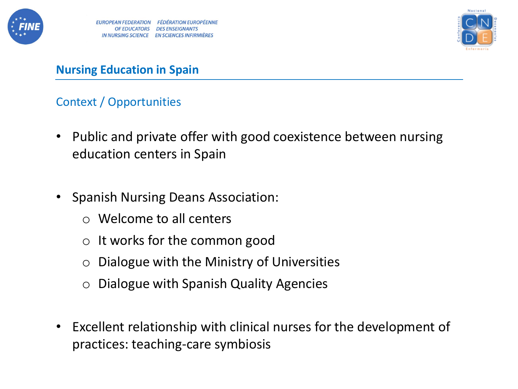



#### Context / Opportunities

- Public and private offer with good coexistence between nursing education centers in Spain
- Spanish Nursing Deans Association:
	- o Welcome to all centers
	- $\circ$  It works for the common good
	- $\circ$  Dialogue with the Ministry of Universities
	- o Dialogue with Spanish Quality Agencies
- Excellent relationship with clinical nurses for the development of practices: teaching-care symbiosis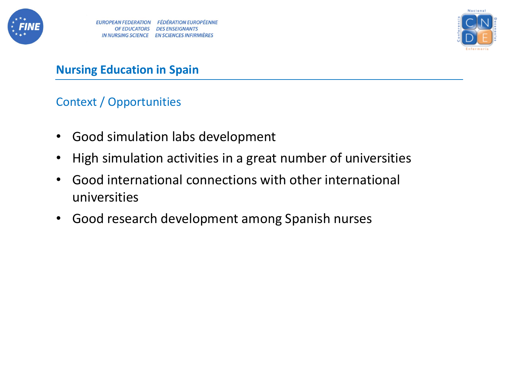



#### Context / Opportunities

- Good simulation labs development
- High simulation activities in a great number of universities
- Good international connections with other international universities
- Good research development among Spanish nurses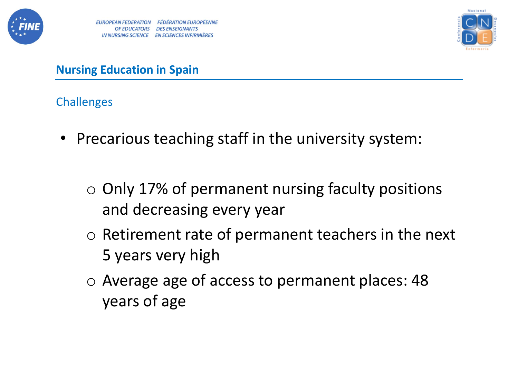



- Precarious teaching staff in the university system:
	- $\circ$  Only 17% of permanent nursing faculty positions and decreasing every year
	- o Retirement rate of permanent teachers in the next 5 years very high
	- o Average age of access to permanent places: 48 years of age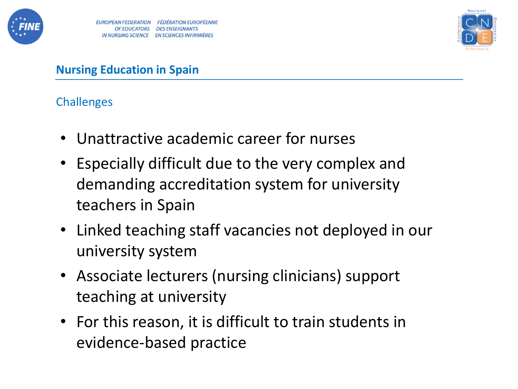



- Unattractive academic career for nurses
- Especially difficult due to the very complex and demanding accreditation system for university teachers in Spain
- Linked teaching staff vacancies not deployed in our university system
- Associate lecturers (nursing clinicians) support teaching at university
- For this reason, it is difficult to train students in evidence-based practice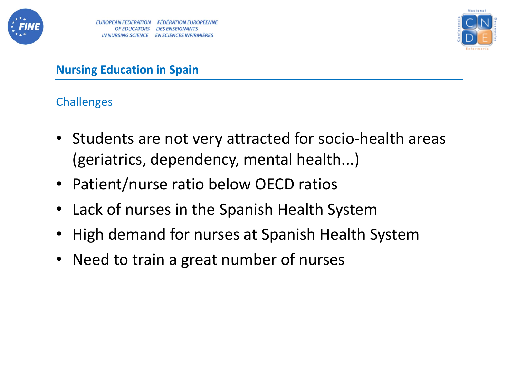



- Students are not very attracted for socio-health areas (geriatrics, dependency, mental health...)
- Patient/nurse ratio below OECD ratios
- Lack of nurses in the Spanish Health System
- High demand for nurses at Spanish Health System
- Need to train a great number of nurses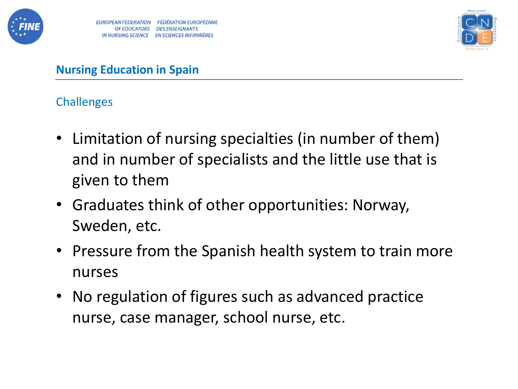



- Limitation of nursing specialties (in number of them) and in number of specialists and the little use that is given to them
- Graduates think of other opportunities: Norway, Sweden, etc.
- Pressure from the Spanish health system to train more nurses
- No regulation of figures such as advanced practice nurse, case manager, school nurse, etc.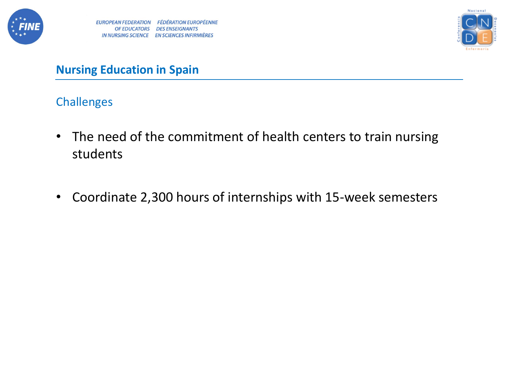



- The need of the commitment of health centers to train nursing students
- Coordinate 2,300 hours of internships with 15-week semesters